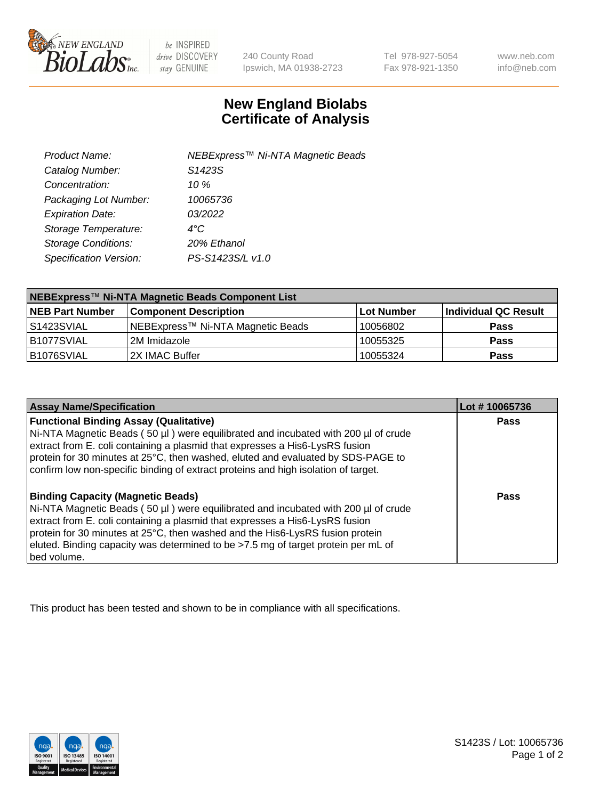

be INSPIRED drive DISCOVERY stay GENUINE

240 County Road Ipswich, MA 01938-2723 Tel 978-927-5054 Fax 978-921-1350

www.neb.com info@neb.com

## **New England Biolabs Certificate of Analysis**

| Product Name:              | NEBExpress <sup>™</sup> Ni-NTA Magnetic Beads |
|----------------------------|-----------------------------------------------|
| Catalog Number:            | S1423S                                        |
| Concentration:             | 10 $%$                                        |
| Packaging Lot Number:      | 10065736                                      |
| <b>Expiration Date:</b>    | 03/2022                                       |
| Storage Temperature:       | $4^{\circ}$ C                                 |
| <b>Storage Conditions:</b> | 20% Ethanol                                   |
| Specification Version:     | PS-S1423S/L v1.0                              |
|                            |                                               |

| NEBExpress™ Ni-NTA Magnetic Beads Component List |                                   |            |                      |  |
|--------------------------------------------------|-----------------------------------|------------|----------------------|--|
| <b>NEB Part Number</b>                           | <b>Component Description</b>      | Lot Number | Individual QC Result |  |
| l S1423SVIAL                                     | NEBExpress™ Ni-NTA Magnetic Beads | 10056802   | <b>Pass</b>          |  |
| B1077SVIAL                                       | l 2M Imidazole.                   | 10055325   | <b>Pass</b>          |  |
| B1076SVIAL                                       | 2X IMAC Buffer                    | 10055324   | <b>Pass</b>          |  |

| <b>Assay Name/Specification</b>                                                                                                                                                                                                                                                                                                                                                                     | Lot #10065736 |
|-----------------------------------------------------------------------------------------------------------------------------------------------------------------------------------------------------------------------------------------------------------------------------------------------------------------------------------------------------------------------------------------------------|---------------|
| <b>Functional Binding Assay (Qualitative)</b><br>Ni-NTA Magnetic Beads (50 µl) were equilibrated and incubated with 200 µl of crude<br>extract from E. coli containing a plasmid that expresses a His6-LysRS fusion<br>protein for 30 minutes at 25°C, then washed, eluted and evaluated by SDS-PAGE to<br>confirm low non-specific binding of extract proteins and high isolation of target.       | Pass          |
| <b>Binding Capacity (Magnetic Beads)</b><br>Ni-NTA Magnetic Beads (50 µl) were equilibrated and incubated with 200 µl of crude<br>extract from E. coli containing a plasmid that expresses a His6-LysRS fusion<br>protein for 30 minutes at 25°C, then washed and the His6-LysRS fusion protein<br>eluted. Binding capacity was determined to be >7.5 mg of target protein per mL of<br>bed volume. | Pass          |

This product has been tested and shown to be in compliance with all specifications.